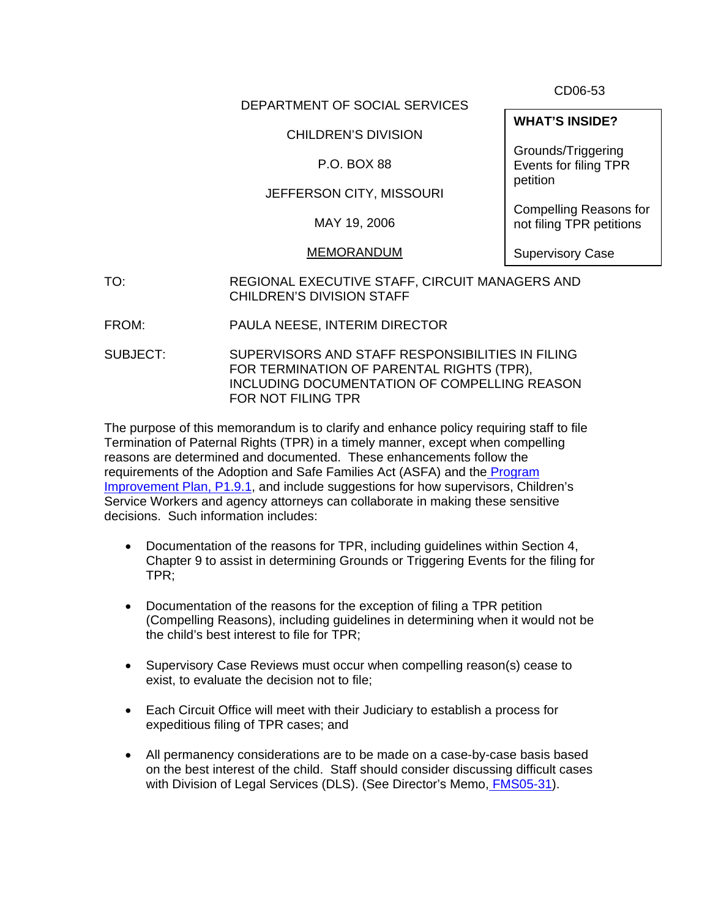CD06-53

#### DEPARTMENT OF SOCIAL SERVICES

# CHILDREN'S DIVISION

# P.O. BOX 88

# JEFFERSON CITY, MISSOURI

MAY 19, 2006

#### MEMORANDUM

Supervisory Case

- TO: REGIONAL EXECUTIVE STAFF, CIRCUIT MANAGERS AND CHILDREN'S DIVISION STAFF
- FROM: PAULA NEESE, INTERIM DIRECTOR
- SUBJECT: SUPERVISORS AND STAFF RESPONSIBILITIES IN FILING FOR TERMINATION OF PARENTAL RIGHTS (TPR), INCLUDING DOCUMENTATION OF COMPELLING REASON FOR NOT FILING TPR

The purpose of this memorandum is to clarify and enhance policy requiring staff to file Termination of Paternal Rights (TPR) in a timely manner, except when compelling reasons are determined and documented. These enhancements follow the requirements of the Adoption and Safe Families Act (ASFA) and th[e Program](http://www.dss.mo.gov/cd/cfsr/pip/index.htm) [Improvement Plan, P1.9.1](http://www.dss.mo.gov/cd/cfsr/pip/index.htm), and include suggestions for how supervisors, Children's Service Workers and agency attorneys can collaborate in making these sensitive decisions. Such information includes:

- Documentation of the reasons for TPR, including guidelines within Section 4, Chapter 9 to assist in determining Grounds or Triggering Events for the filing for TPR;
- Documentation of the reasons for the exception of filing a TPR petition (Compelling Reasons), including guidelines in determining when it would not be the child's best interest to file for TPR;
- Supervisory Case Reviews must occur when compelling reason(s) cease to exist, to evaluate the decision not to file;
- Each Circuit Office will meet with their Judiciary to establish a process for expeditious filing of TPR cases; and
- All permanency considerations are to be made on a case-by-case basis based on the best interest of the child. Staff should consider discussing difficult cases with Division of Legal Services (DLS). (See Director's Memo, [FMS05-31](http://dssweb/cs/memos/director/2005/31/fms0531.pdf)).

**WHAT'S INSIDE?** 

Grounds/Triggering Events for filing TPR petition

Compelling Reasons for not filing TPR petitions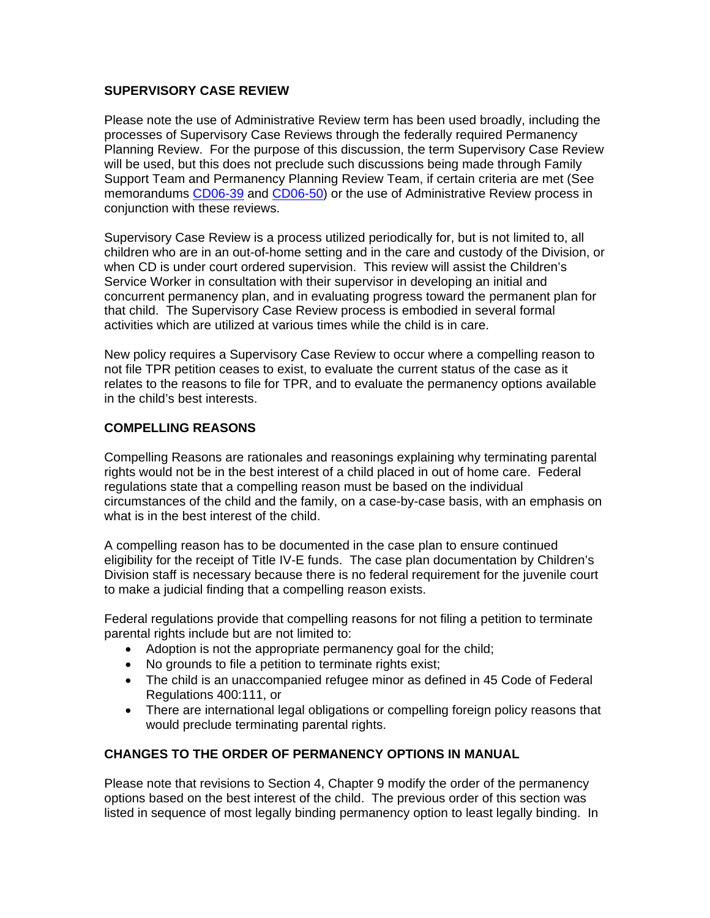#### **SUPERVISORY CASE REVIEW**

Please note the use of Administrative Review term has been used broadly, including the processes of Supervisory Case Reviews through the federally required Permanency Planning Review. For the purpose of this discussion, the term Supervisory Case Review will be used, but this does not preclude such discussions being made through Family Support Team and Permanency Planning Review Team, if certain criteria are met (See memorandums [CD06-39](http://dss.mo.gov/cd/info/memos/2006/39/cd0639.pdf) and [CD06-50\)](http://dss.mo.gov/cd/info/memos/2006/cd0650.pdf) or the use of Administrative Review process in conjunction with these reviews.

Supervisory Case Review is a process utilized periodically for, but is not limited to, all children who are in an out-of-home setting and in the care and custody of the Division, or when CD is under court ordered supervision. This review will assist the Children's Service Worker in consultation with their supervisor in developing an initial and concurrent permanency plan, and in evaluating progress toward the permanent plan for that child. The Supervisory Case Review process is embodied in several formal activities which are utilized at various times while the child is in care.

New policy requires a Supervisory Case Review to occur where a compelling reason to not file TPR petition ceases to exist, to evaluate the current status of the case as it relates to the reasons to file for TPR, and to evaluate the permanency options available in the child's best interests.

#### **COMPELLING REASONS**

Compelling Reasons are rationales and reasonings explaining why terminating parental rights would not be in the best interest of a child placed in out of home care. Federal regulations state that a compelling reason must be based on the individual circumstances of the child and the family, on a case-by-case basis, with an emphasis on what is in the best interest of the child.

A compelling reason has to be documented in the case plan to ensure continued eligibility for the receipt of Title IV-E funds. The case plan documentation by Children's Division staff is necessary because there is no federal requirement for the juvenile court to make a judicial finding that a compelling reason exists.

Federal regulations provide that compelling reasons for not filing a petition to terminate parental rights include but are not limited to:

- Adoption is not the appropriate permanency goal for the child;
- No grounds to file a petition to terminate rights exist;
- The child is an unaccompanied refugee minor as defined in 45 Code of Federal Regulations 400:111, or
- There are international legal obligations or compelling foreign policy reasons that would preclude terminating parental rights.

# **CHANGES TO THE ORDER OF PERMANENCY OPTIONS IN MANUAL**

Please note that revisions to Section 4, Chapter 9 modify the order of the permanency options based on the best interest of the child. The previous order of this section was listed in sequence of most legally binding permanency option to least legally binding. In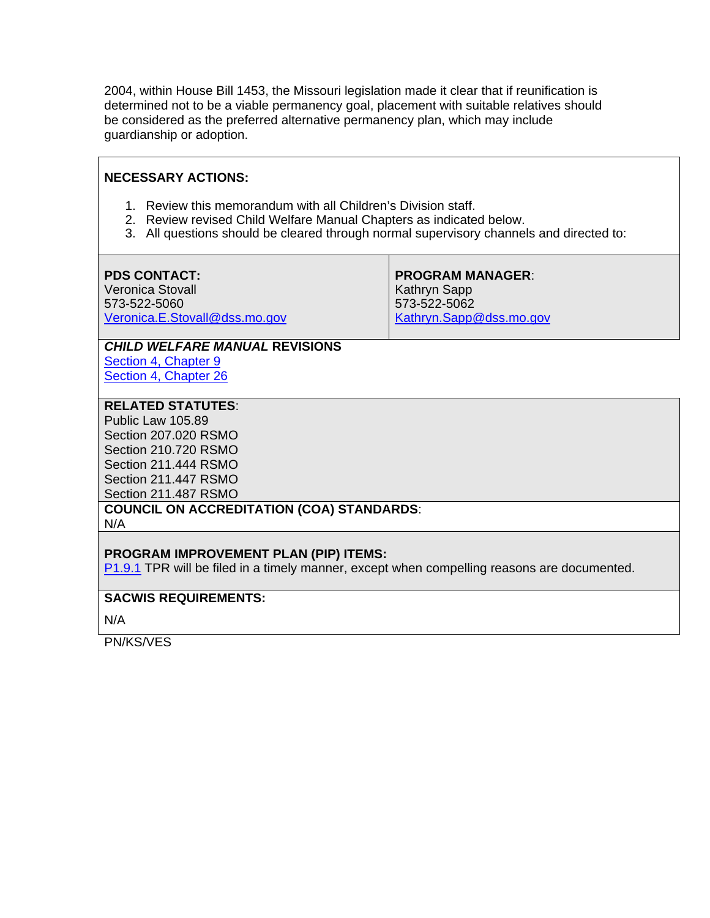2004, within House Bill 1453, the Missouri legislation made it clear that if reunification is determined not to be a viable permanency goal, placement with suitable relatives should be considered as the preferred alternative permanency plan, which may include guardianship or adoption.

# **NECESSARY ACTIONS:**

- 1. Review this memorandum with all Children's Division staff.
- 2. Review revised Child Welfare Manual Chapters as indicated below.
- 3. All questions should be cleared through normal supervisory channels and directed to:

| <b>PDS CONTACT:</b>           | <b>PROGRAM MANAGER:</b> |
|-------------------------------|-------------------------|
| Veronica Stovall              | Kathryn Sapp            |
| 573-522-5060                  | 573-522-5062            |
| Veronica.E.Stovall@dss.mo.gov | Kathryn.Sapp@dss.mo.gov |

# *CHILD WELFARE MANUAL* **REVISIONS**

[Section 4, Chapter 9](http://www.dss.mo.gov/cd/info/cwmanual/section4/ch9/sec4ch9index.htm) [Section 4, Chapter 26](http://dss.mo.gov/cd/info/cwmanual/section4/sec4ch26.pdf)

# **RELATED STATUTES**:

Public Law 105.89 Section 207.020 RSMO Section 210.720 RSMO Section 211.444 RSMO Section 211.447 RSMO Section 211.487 RSMO

# **COUNCIL ON ACCREDITATION (COA) STANDARDS**:

N/A

#### **PROGRAM IMPROVEMENT PLAN (PIP) ITEMS:**

[P1.9.1](http://www.dss.mo.gov/cd/cfsr/pip/index.htm) TPR will be filed in a timely manner, except when compelling reasons are documented.

#### **SACWIS REQUIREMENTS:**

N/A

PN/KS/VES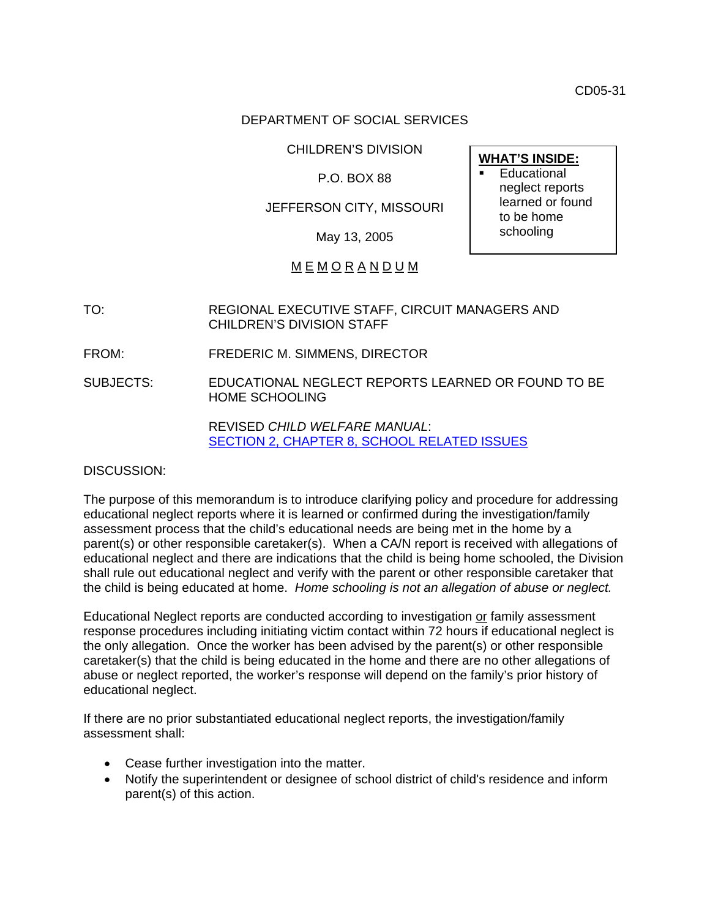CD05-31

#### DEPARTMENT OF SOCIAL SERVICES

CHILDREN'S DIVISION **WHAT'S INSIDE:**

# P.O. BOX 88

#### JEFFERSON CITY, MISSOURI

May 13, 2005

# M E M O R A N D U M

- TO: REGIONAL EXECUTIVE STAFF, CIRCUIT MANAGERS AND CHILDREN'S DIVISION STAFF
- FROM: FREDERIC M. SIMMENS, DIRECTOR
- SUBJECTS: EDUCATIONAL NEGLECT REPORTS LEARNED OR FOUND TO BE HOME SCHOOLING

REVISED *CHILD WELFARE MANUAL*: [SECTION 2, CHAPTER 8, SCHOOL RELATED ISSUES](http://dssweb/cs/cwmanual/section2/sec2ch8.pdf)

#### DISCUSSION:

The purpose of this memorandum is to introduce clarifying policy and procedure for addressing educational neglect reports where it is learned or confirmed during the investigation/family assessment process that the child's educational needs are being met in the home by a parent(s) or other responsible caretaker(s). When a CA/N report is received with allegations of educational neglect and there are indications that the child is being home schooled, the Division shall rule out educational neglect and verify with the parent or other responsible caretaker that the child is being educated at home. *Home schooling is not an allegation of abuse or neglect.*

Educational Neglect reports are conducted according to investigation or family assessment response procedures including initiating victim contact within 72 hours if educational neglect is the only allegation. Once the worker has been advised by the parent(s) or other responsible caretaker(s) that the child is being educated in the home and there are no other allegations of abuse or neglect reported, the worker's response will depend on the family's prior history of educational neglect.

If there are no prior substantiated educational neglect reports, the investigation/family assessment shall:

- Cease further investigation into the matter.
- Notify the superintendent or designee of school district of child's residence and inform parent(s) of this action.

 Educational neglect reports learned or found to be home schooling